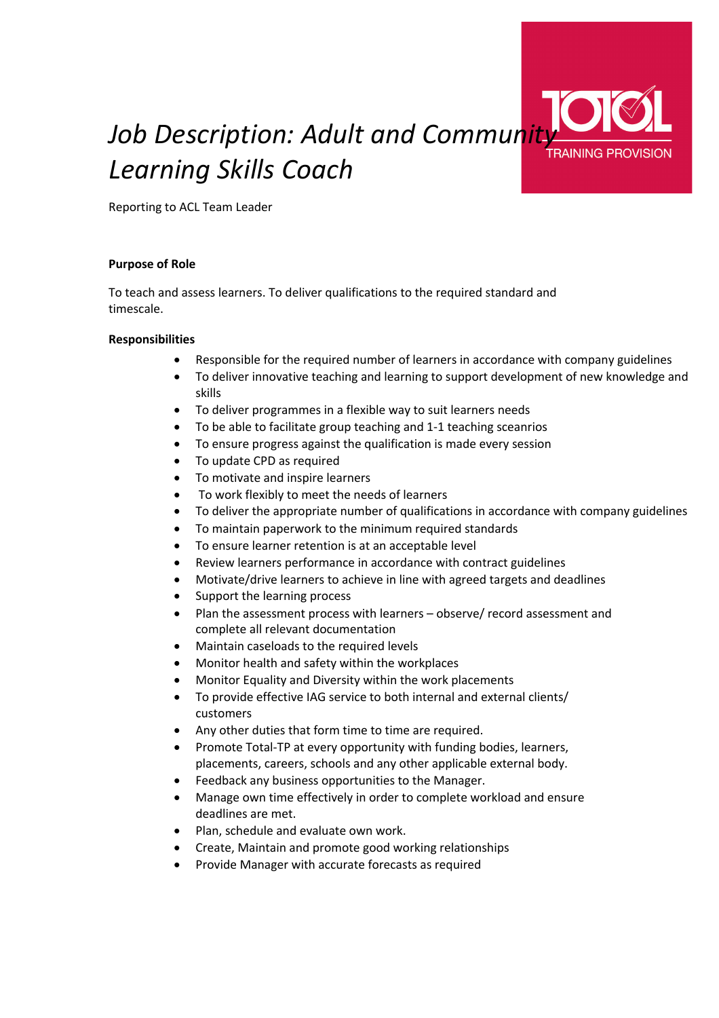# *Job Description: Adult and Community Learning Skills Coach*

Reporting to ACL Team Leader

## **Purpose of Role**

To teach and assess learners. To deliver qualifications to the required standard and timescale.

### **Responsibilities**

- Responsible for the required number of learners in accordance with company guidelines
- To deliver innovative teaching and learning to support development of new knowledge and skills
- To deliver programmes in a flexible way to suit learners needs
- To be able to facilitate group teaching and 1-1 teaching sceanrios
- To ensure progress against the qualification is made every session
- To update CPD as required
- To motivate and inspire learners
- To work flexibly to meet the needs of learners
- To deliver the appropriate number of qualifications in accordance with company guidelines
- To maintain paperwork to the minimum required standards
- To ensure learner retention is at an acceptable level
- Review learners performance in accordance with contract guidelines
- Motivate/drive learners to achieve in line with agreed targets and deadlines
- Support the learning process
- Plan the assessment process with learners observe/ record assessment and complete all relevant documentation
- Maintain caseloads to the required levels
- Monitor health and safety within the workplaces
- Monitor Equality and Diversity within the work placements
- To provide effective IAG service to both internal and external clients/ customers
- Any other duties that form time to time are required.
- Promote Total-TP at every opportunity with funding bodies, learners, placements, careers, schools and any other applicable external body.
- Feedback any business opportunities to the Manager.
- Manage own time effectively in order to complete workload and ensure deadlines are met.
- Plan, schedule and evaluate own work.
- Create, Maintain and promote good working relationships
- Provide Manager with accurate forecasts as required